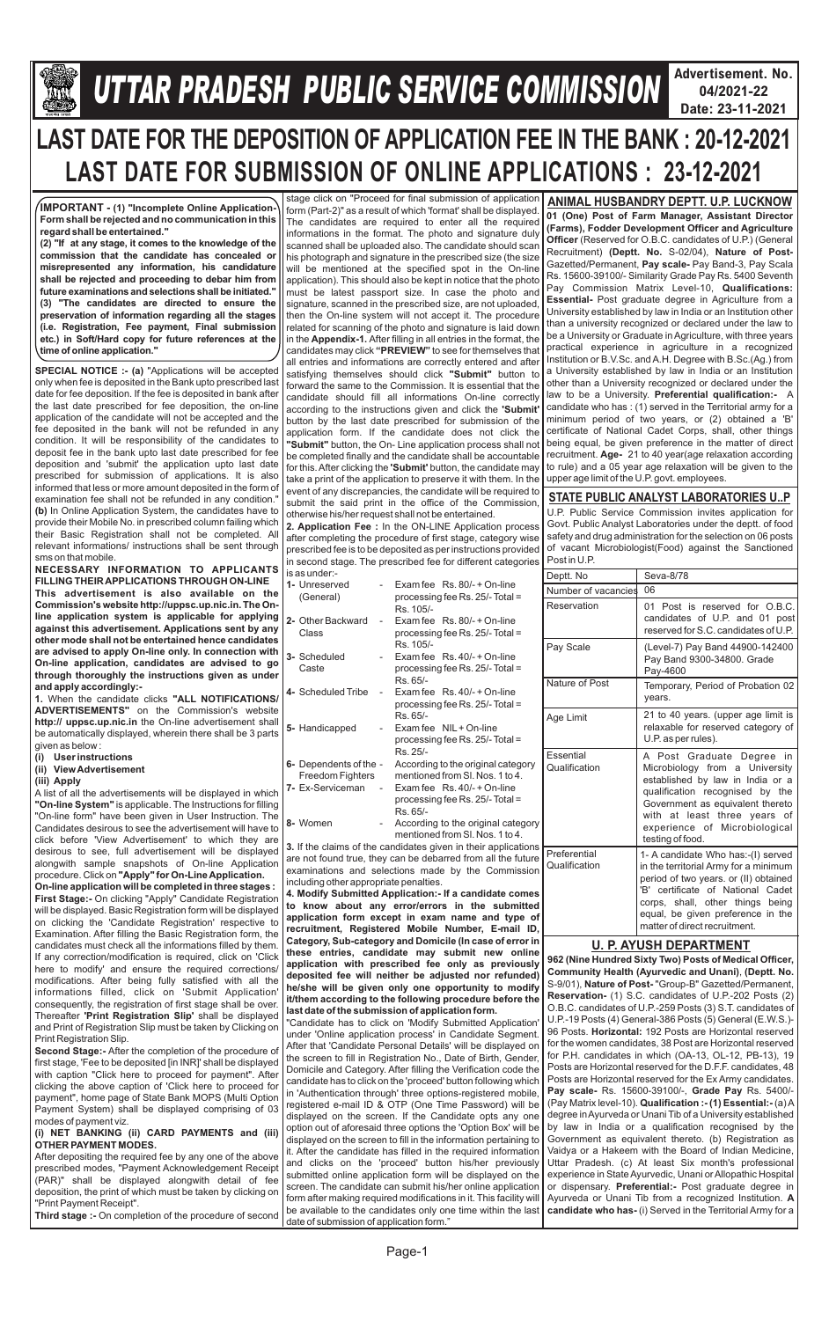

## **Gllej ØeosMe YetlelJe SJeb Keefvekeâce&** *U***efveosMeeueÙe DeOeervemLe ØeeefJeefOekeâ mesJee** *TTAR PRADESH PUBLIC SERVICE COMMISSION*

**Advertisement. No. 04/2021-22 Date: 23-11-2021**



# **LAST DATE FOR THE DEPOSITION OF APPLICATION FEE IN THE BANK : 20-12-2021 LAST DATE FOR SUBMISSION OF ONLINE APPLICATIONS : 23-12-2021**

**SPECIAL NOTICE :- (a)** "Applications will be accepted only when fee is deposited in the Bank upto prescribed last date for fee deposition. If the fee is deposited in bank after the last date prescribed for fee deposition, the on-line application of the candidate will not be accepted and the fee deposited in the bank will not be refunded in any condition. It will be responsibility of the candidates to deposit fee in the bank upto last date prescribed for fee deposition and 'submit' the application upto last date prescribed for submission of applications. It is also informed that less or more amount deposited in the form of examination fee shall not be refunded in any condition." **(b)** In Online Application System, the candidates have to provide their Mobile No. in prescribed column failing which their Basic Registration shall not be completed. All relevant informations/ instructions shall be sent through sms on that mobile.

**NECESSARY INFORMATION TO APPLICANTS FILLING THEIR APPLICATIONS THROUGH ON-LINE This advertisement is also available on the Commission's website http://uppsc.up.nic.in. The Online application system is applicable for applying against this advertisement. Applications sent by any other mode shall not be entertained hence candidates are advised to apply On-line only. In connection with On-line application, candidates are advised to go through thoroughly the instructions given as under and apply accordingly:-**

**1.** When the candidate clicks **"ALL NOTIFICATIONS/ ADVERTISEMENTS"** on the Commission's website **http:// uppsc.up.nic.in** the On-line advertisement shall be automatically displayed, wherein there shall be 3 parts given as below :

- **(i) User instructions**
- **(ii) View Advertisement**
- **(iii) Apply**

A list of all the advertisements will be displayed in which **"On-line System"** is applicable. The Instructions for filling "On-line form" have been given in User Instruction. The Candidates desirous to see the advertisement will have to click before 'View Advertisement' to which they are desirous to see, full advertisement will be displayed alongwith sample snapshots of On-line Application

procedure. Click on **"Apply" for On-Line Application. On-line application will be completed in three stages : First Stage:-** On clicking "Apply" Candidate Registration will be displayed. Basic Registration form will be displayed on clicking the 'Candidate Registration' respective to Examination. After filling the Basic Registration form, the candidates must check all the informations filled by them. If any correction/modification is required, click on 'Click here to modify' and ensure the required corrections/

stage click on "Proceed for final submission of application form (Part-2)" as a result of which 'format' shall be displayed. The candidates are required to enter all the required informations in the format. The photo and signature duly scanned shall be uploaded also. The candidate should scan his photograph and signature in the prescribed size (the size will be mentioned at the specified spot in the On-line application). This should also be kept in notice that the photo must be latest passport size. In case the photo and signature, scanned in the prescribed size, are not uploaded, then the On-line system will not accept it. The procedure related for scanning of the photo and signature is laid down in the **Appendix-1.** After filling in all entries in the format, the candidates may click **"PREVIEW"** to see for themselves that all entries and informations are correctly entered and after satisfying themselves should click **"Submit"** button to forward the same to the Commission. It is essential that the candidate should fill all informations On-line correctly according to the instructions given and click the **'Submit'**  button by the last date prescribed for submission of the application form. If the candidate does not click the **"Submit"** button, the On- Line application process shall not be completed finally and the candidate shall be accountable for this. After clicking the **'Submit'** button, the candidate may take a print of the application to preserve it with them. In the event of any discrepancies, the candidate will be required to submit the said print in the office of the Commission, otherwise his/her request shall not be entertained.

**2. Application Fee :** In the ON-LINE Application process after completing the procedure of first stage, category wise prescribed fee is to be deposited as per instructions provided in second stage. The prescribed fee for different categories is as under:-

|                                                                                                                                                                                      | 1- Unreserved<br>(General)                 |                | Exam fee $\,$ Rs, 80/- + On-line<br>processing fee Rs. 25/- Total =<br>Rs. 105/- |
|--------------------------------------------------------------------------------------------------------------------------------------------------------------------------------------|--------------------------------------------|----------------|----------------------------------------------------------------------------------|
|                                                                                                                                                                                      | 2- Other Backward<br>Class                 | $\overline{a}$ | Exam fee $\,$ Rs. 80/- + On-line<br>processing fee Rs. 25/- Total =<br>Rs. 105/- |
|                                                                                                                                                                                      | 3- Scheduled<br>Caste                      |                | Exam fee $\,$ Rs. 40/- + On-line<br>processing fee Rs. 25/- Total =<br>Rs. 65/-  |
|                                                                                                                                                                                      | 4- Scheduled Tribe                         |                | Exam fee $\,$ Rs. 40/- + On-line<br>processing fee Rs. 25/- Total =<br>Rs. 65/-  |
|                                                                                                                                                                                      | 5- Handicapped                             |                | Exam fee NIL + On-line<br>processing fee Rs. 25/- Total =<br>Rs. 25/-            |
|                                                                                                                                                                                      | 6- Dependents of the -<br>Freedom Fighters |                | According to the original category<br>mentioned from SI, Nos. 1 to 4.            |
|                                                                                                                                                                                      | 7- Ex-Serviceman                           |                | Exam fee $\,$ Rs. 40/- + On-line<br>processing fee Rs. 25/- Total =<br>Rs. 65/-  |
|                                                                                                                                                                                      | 8- Women                                   |                | According to the original category<br>mentioned from SI, Nos, 1 to 4.            |
| 3. If the claims of the candidates given in their applications<br>are not found true, they can be debarred from all the future<br>examinations and selections made by the Commission |                                            |                |                                                                                  |

including other appropriate penalties. **4. Modify Submitted Application:- If a candidate comes to know about any error/errors in the submitted application form except in exam name and type of recruitment, Registered Mobile Number, E-mail ID, Category, Sub-category and Domicile (In case of error in these entries, candidate may submit new online application with prescribed fee only as previously** 

| here to modify and ensure the required corrections.            | deposited fee will neither be adjusted nor refunded)                                                                        | Community Health (Ayurvedic and Unani), (Deptt. No.           |
|----------------------------------------------------------------|-----------------------------------------------------------------------------------------------------------------------------|---------------------------------------------------------------|
| modifications. After being fully satisfied with all the        | he/she will be given only one opportunity to modify                                                                         | S-9/01), Nature of Post-"Group-B" Gazetted/Permanent,         |
| informations filled, click on 'Submit Application              | it/them according to the following procedure before the                                                                     | <b>Reservation-</b> (1) S.C. candidates of U.P.-202 Posts (2) |
| consequently, the registration of first stage shall be over.   |                                                                                                                             | O.B.C. candidates of U.P.-259 Posts (3) S.T. candidates of    |
| Thereafter 'Print Registration Slip' shall be displayed        | last date of the submission of application form.                                                                            | U.P.-19 Posts (4) General-386 Posts (5) General (E.W.S.)-     |
| and Print of Registration Slip must be taken by Clicking on    | "Candidate has to click on 'Modify Submitted Application'                                                                   | 96 Posts. Horizontal: 192 Posts are Horizontal reserved       |
| Print Registration Slip.                                       | under 'Online application process' in Candidate Segment.                                                                    |                                                               |
| Second Stage:- After the completion of the procedure of        | After that 'Candidate Personal Details' will be displayed on                                                                | for the women candidates, 38 Post are Horizontal reserved     |
| first stage, 'Fee to be deposited [in INR]' shall be displayed | the screen to fill in Registration No., Date of Birth, Gender,                                                              | for P.H. candidates in which (OA-13, OL-12, PB-13), 19        |
| with caption "Click here to proceed for payment". After        | Domicile and Category. After filling the Verification code the                                                              | Posts are Horizontal reserved for the D.F.F. candidates, 48   |
| clicking the above caption of 'Click here to proceed for       | candidate has to click on the 'proceed' button following which                                                              | Posts are Horizontal reserved for the Ex Army candidates.     |
|                                                                | in 'Authentication through' three options-registered mobile,                                                                | <b>Pay scale-</b> Rs. 15600-39100/-, Grade Pay Rs. 5400/-     |
| payment", home page of State Bank MOPS (Multi Option           | registered e-mail ID & OTP (One Time Password) will be                                                                      | (Pay Matrix level-10). Qualification :- (1) Essential:- (a) A |
| Payment System) shall be displayed comprising of 03            | displayed on the screen. If the Candidate opts any one                                                                      | degree in Ayurveda or Unani Tib of a University established   |
| modes of payment viz.                                          | option out of aforesaid three options the 'Option Box' will be                                                              | by law in India or a qualification recognised by the          |
| (i) NET BANKING (ii) CARD PAYMENTS and (iii)                   | displayed on the screen to fill in the information pertaining to                                                            | Government as equivalent thereto. (b) Registration as         |
| <b>OTHER PAYMENT MODES.</b>                                    | it. After the candidate has filled in the required information                                                              | Vaidya or a Hakeem with the Board of Indian Medicine,         |
| After depositing the required fee by any one of the above      | and clicks on the 'proceed' button his/her previously                                                                       | Uttar Pradesh. (c) At least Six month's professional          |
| prescribed modes, "Payment Acknowledgement Receipt             | submitted online application form will be displayed on the                                                                  | experience in State Ayurvedic, Unani or Allopathic Hospital   |
| (PAR)" shall be displayed alongwith detail of fee              |                                                                                                                             |                                                               |
| deposition, the print of which must be taken by clicking on    | screen. The candidate can submit his/her online application                                                                 | or dispensary. Preferential:- Post graduate degree in         |
| "Print Payment Receipt".                                       | form after making required modifications in it. This facility will   Ayurveda or Unani Tib from a recognized Institution. A |                                                               |
| Third stage :- On completion of the procedure of second        | be available to the candidates only one time within the last   candidate who has- (i) Served in the Territorial Army for a  |                                                               |
|                                                                | date of submission of application form."                                                                                    |                                                               |

**IMPORTANT - (1) "Incomplete Online Application-Form shall be rejected and no communication in this regard shall be entertained."**

**(2) "If at any stage, it comes to the knowledge of the commission that the candidate has concealed or misrepresented any information, his candidature shall be rejected and proceeding to debar him from future examinations and selections shall be initiated." (3) "The candidates are directed to ensure the preservation of information regarding all the stages (i.e. Registration, Fee payment, Final submission etc.) in Soft/Hard copy for future references at the time of online application."** 

**01 (One) Post of Farm Manager, Assistant Director (Farms), Fodder Development Officer and Agriculture Officer** (Reserved for O.B.C. candidates of U.P.) (General Recruitment) **(Deptt. No.** S-02/04), **Nature of Post-**Gazetted/Permanent, **Pay scale-** Pay Band-3, Pay Scala Rs. 15600-39100/- Similarity Grade Pay Rs. 5400 Seventh Pay Commission Matrix Level-10, **Qualifications: Essential-** Post graduate degree in Agriculture from a University established by law in India or an Institution other than a university recognized or declared under the law to be a University or Graduate in Agriculture, with three years practical experience in agriculture in a recognized Institution or B.V.Sc. and A.H. Degree with B.Sc.(Ag.) from a University established by law in India or an Institution other than a University recognized or declared under the law to be a University. **Preferential qualification:-** A candidate who has : (1) served in the Territorial army for a minimum period of two years, or (2) obtained a 'B' certificate of National Cadet Corps, shall, other things being equal, be given preference in the matter of direct recruitment. **Age-** 21 to 40 year(age relaxation according to rule) and a 05 year age relaxation will be given to the upper age limit of the U.P. govt. employees. **ANIMAL HUSBANDRY DEPTT. U.P. LUCKNOW**

#### **STATE PUBLIC ANALYST LABORATORIES U..P**

U.P. Public Service Commission invites application for Govt. Public Analyst Laboratories under the deptt. of food safety and drug administration for the selection on 06 posts of vacant Microbiologist(Food) against the Sanctioned Post in U.P.

| Deptt. No                     | Seva-8/78                                                                                                                                                                                                                                                              |  |
|-------------------------------|------------------------------------------------------------------------------------------------------------------------------------------------------------------------------------------------------------------------------------------------------------------------|--|
| Number of vacancies           | 06                                                                                                                                                                                                                                                                     |  |
| Reservation                   | 01 Post is reserved for O.B.C.<br>candidates of U.P. and 01 post<br>reserved for S.C. candidates of U.P.                                                                                                                                                               |  |
| Pay Scale                     | (Level-7) Pay Band 44900-142400<br>Pay Band 9300-34800. Grade<br>Pay-4600                                                                                                                                                                                              |  |
| Nature of Post                | Temporary, Period of Probation 02<br>years.                                                                                                                                                                                                                            |  |
| Age Limit                     | 21 to 40 years. (upper age limit is<br>relaxable for reserved category of<br>U.P. as per rules).                                                                                                                                                                       |  |
| Essential<br>Qualification    | A Post Graduate Degree in<br>Microbiology from a University<br>established by law in India or a<br>qualification recognised by the<br>Government as equivalent thereto<br>with at least three years of<br>experience of Microbiological<br>testing of food.            |  |
| Preferential<br>Qualification | 1- A candidate Who has:-(I) served<br>in the territorial Army for a minimum<br>period of two years. or (II) obtained<br>'B' certificate of National Cadet<br>corps, shall, other things<br>being<br>equal, be given preference in the<br>matter of direct recruitment. |  |

**962 (Nine Hundred Sixty Two) Posts of Medical Officer,** 

#### **U. P. AYUSH DEPARTMENT**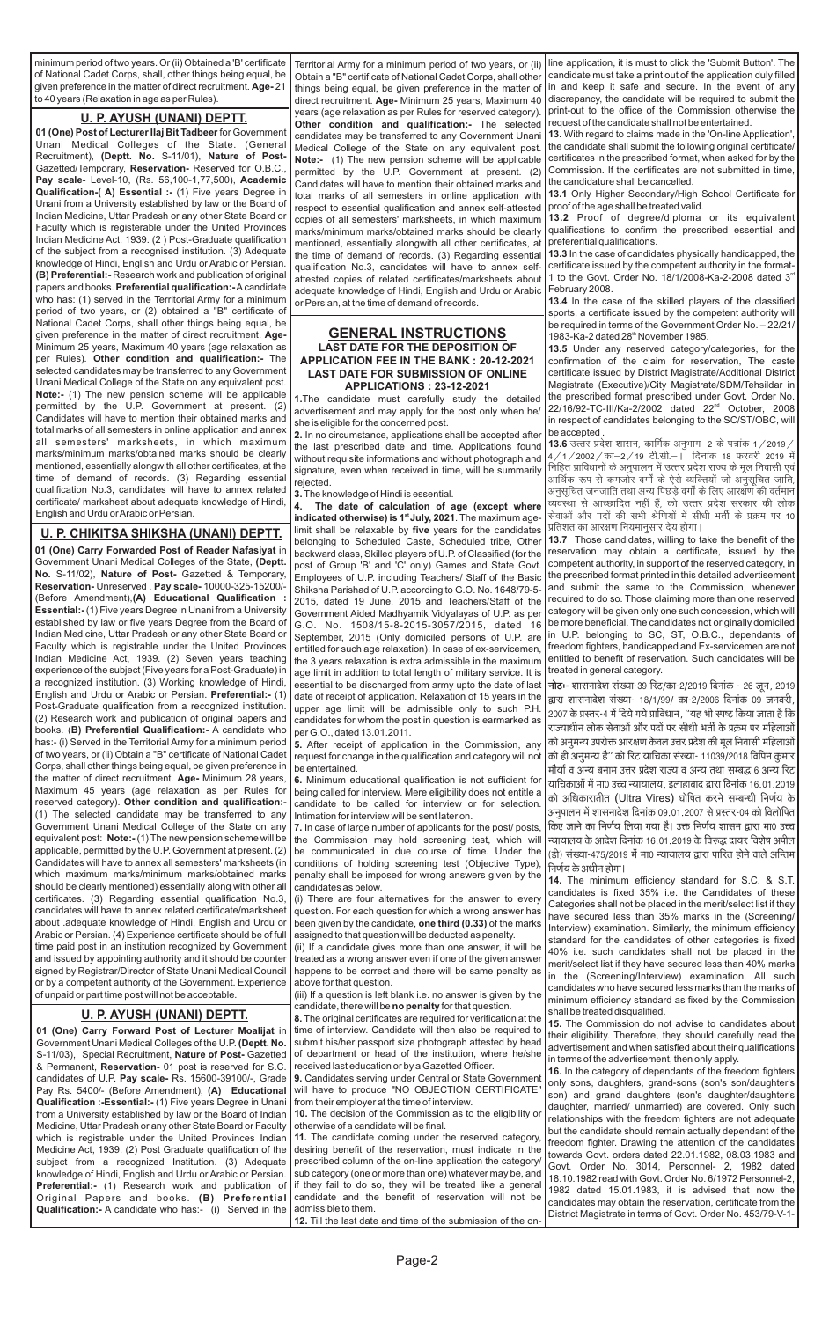**01 (One) Carry Forward Post of Lecturer Moalijat** in Government Unani Medical Colleges of the U.P. **(Deptt. No.**  S-11/03), Special Recruitment, **Nature of Post-** Gazetted & Permanent, **Reservation-** 01 post is reserved for S.C. candidates of U.P. **Pay scale-** Rs. 15600-39100/-, Grade Pay Rs. 5400/- (Before Amendment), **(A) Educational Qualification :-Essential:-** (1) Five years Degree in Unani from a University established by law or the Board of Indian Medicine, Uttar Pradesh or any other State Board or Faculty which is registrable under the United Provinces Indian Medicine Act, 1939. (2) Post Graduate qualification of the subject from a recognized Institution. (3) Adequate knowledge of Hindi, English and Urdu or Arabic or Persian. **Preferential:-** (1) Research work and publication of Original Papers and books. **(B) Preferential Qualification:-** A candidate who has:- (i) Served in the

ove for that question.

### **U. P. AYUSH (UNANI) DEPTT.**

#### **GENERAL INSTRUCTIONS LAST DATE FOR THE DEPOSITION OF APPLICATION FEE IN THE BANK : 20-12-2021 LAST DATE FOR SUBMISSION OF ONLINE APPLICATIONS : 23-12-2021**

**1.**The candidate must carefully study the detailed advertisement and may apply for the post only when he/ she is eligible for the concerned post.

**2.** In no circumstance, applications shall be accepted after the last prescribed date and time. Applications found without requisite informations and without photograph and signature, even when received in time, will be summarily rejected.

**3.**The knowledge of Hindi is essential.

If a question is left blank i.e. no answer is given by the candidate, there will be **no penalty** for that question.

**4. The date of calculation of age (except where indicated otherwise) is 1<sup>st</sup> July, 2021**. The maximum agelimit shall be relaxable by **five** years for the candidates belonging to Scheduled Caste, Scheduled tribe, Other backward class, Skilled players of U.P. of Classified (for the post of Group 'B' and 'C' only) Games and State Govt. Employees of U.P. including Teachers/ Staff of the Basic Shiksha Parishad of U.P. according to G.O. No. 1648/79-5- 2015, dated 19 June, 2015 and Teachers/Staff of the Government Aided Madhyamik Vidyalayas of U.P. as per G.O. No. 1508/15-8-2015-3057/2015, dated 16 September, 2015 (Only domiciled persons of U.P. are entitled for such age relaxation). In case of ex-servicemen, the 3 years relaxation is extra admissible in the maximum age limit in addition to total length of military service. It is essential to be discharged from army upto the date of last date of receipt of application. Relaxation of 15 years in the upper age limit will be admissible only to such P.H. candidates for whom the post in question is earmarked as per G.O., dated 13.01.2011.

**5.** After receipt of application in the Commission, any request for change in the qualification and category will not be entertained.

**6.** Minimum educational qualification is not sufficient for being called for interview. Mere eligibility does not entitle a candidate to be called for interview or for selection. Intimation for interview will be sent later on.

**13.4** In the case of the skilled players of the classified sports, a certificate issued by the competent authority will be required in terms of the Government Order No. – 22/21/ 1983-Ka-2 dated 28<sup>th</sup> November 1985.

**7.** In case of large number of applicants for the post/ posts, the Commission may hold screening test, which will be communicated in due course of time. Under the conditions of holding screening test (Objective Type), penalty shall be imposed for wrong answers given by the candidates as below.

(i) There are four alternatives for the answer to every question. For each question for which a wrong answer has been given by the candidate, **one third (0.33)** of the marks assigned to that question will be deducted as penalty.

(ii) If a candidate gives more than one answer, it will be treated as a wrong answer even if one of the given answer happens to be correct and there will be same penalty as

**8.** The original certificates are required for verification at the time of interview. Candidate will then also be required to submit his/her passport size photograph attested by head of department or head of the institution, where he/she received last education or by a Gazetted Officer.

**9.** Candidates serving under Central or State Government will have to produce "NO OBJECTION CERTIFICATE" from their employer at the time of interview.

**10.** The decision of the Commission as to the eligibility or otherwise of a candidate will be final.

**11.** The candidate coming under the reserved category, desiring benefit of the reservation, must indicate in the prescribed column of the on-line application the category/ sub category (one or more than one) whatever may be, and if they fail to do so, they will be treated like a general candidate and the benefit of reservation will not be admissible to them.

**12.** Till the last date and time of the submission of the on-

line application, it is must to click the 'Submit Button'. The candidate must take a print out of the application duly filled in and keep it safe and secure. In the event of any discrepancy, the candidate will be required to submit the print-out to the office of the Commission otherwise the request of the candidate shall not be entertained.

**13.** With regard to claims made in the 'On-line Application', the candidate shall submit the following original certificate/ certificates in the prescribed format, when asked for by the Commission. If the certificates are not submitted in time, the candidature shall be cancelled.

**13.1** Only Higher Secondary/High School Certificate for proof of the age shall be treated valid.

**13.2** Proof of degree/diploma or its equivalent qualifications to confirm the prescribed essential and preferential qualifications.

**13.3** In the case of candidates physically handicapped, the certificate issued by the competent authority in the format-1 to the Govt. Order No. 18/1/2008-Ka-2-2008 dated  $3<sup>rd</sup>$ February 2008.

**13.5** Under any reserved category/categories, for the confirmation of the claim for reservation, The caste certificate issued by District Magistrate/Additional District Magistrate (Executive)/City Magistrate/SDM/Tehsildar in the prescribed format prescribed under Govt. Order No. 22/16/92-TC-III/Ka-2/2002 dated 22<sup>nd</sup> October, 2008 in respect of candidates belonging to the SC/ST/OBC, will be accepted .

**13.6** उत्तर प्रदेश शासन, कार्मिक अनुभाग–2 के पत्रांक 1 / 2019 / | 4/1/2002/का-2/19 टी.सी.- | दिनांक 18 फरवरी 2019 में निहित प्राविधानों के अनुपालन में उत्तर प्रदेश राज्य के मूल निवासी एवं आर्थिक रूप से कमजोर वर्गों के ऐसे व्यक्तियों जो अनुसूचित जाति, अनुसुचित जनजाति तथा अन्य पिछड़े वर्गों के लिए आरक्षण की वर्तमान व्यवस्था से आच्छादित नहीं हैं. को उत्तर प्रदेश सरकार की लोक सेवाओं और पदों की सभी श्रेणियों में सीधी भर्ती के प्रक्रम पर 10 प्रतिशत का आरक्षण नियमानुसार देय होगा।

**13.7**  Those candidates, willing to take the benefit of the reservation may obtain a certificate, issued by the competent authority, in support of the reserved category, in the prescribed format printed in this detailed advertisement and submit the same to the Commission, whenever required to do so. Those claiming more than one reserved category will be given only one such concession, which will be more beneficial. The candidates not originally domiciled in U.P. belonging to SC, ST, O.B.C., dependants of freedom fighters, handicapped and Ex-servicemen are not entitled to benefit of reservation. Such candidates will be treated in general category.

**नोटः-** शासनादेश संख्या-39 रिट/का-2/2019 दिनांक - 26 जून, 2019 द्वारा शासनादेश संख्या- 18/1/99/ का-2/2006 दिनांक 09 जनवरी, 2007 के प्रस्तर-4 में दिये गये प्राविधान, ''यह भी स्पष्ट किया जाता है कि राज्याधीन लोक सेवाओं और पदों पर सीधी भर्ती के प्रक्रम पर महिलाओं को अनुमन्य उपरोक्त आरक्षण केवल उत्तर प्रदेश की मूल निवासी महिलाओं को ही अनुमन्य है'' को रिट याचिका संख्या- 11039/2018 विपिन कुमार मौर्या व अन्य बनाम उत्तर प्रदेश राज्य व अन्य तथा सम्बद्ध 6 अन्य रिट याचिकाओं में मा0 उच्च न्यायालय, इलाहाबाद द्वारा दिनांक 16.01.2019 को अधिकारातीत (Ultra Vires) घोषित करने सम्बन्धी निर्णय के अनुपालन में शासनादेश दिनांक 09.01.2007 से प्रस्तर-04 को विलोपित किए जाने का निर्णय लिया गया है। उक्त निर्णय शासन द्वारा मा0 उच्च न्यायालय के आदेश दिनांक 16.01.2019 के विरूद्ध दायर विशेष अपील (डी) संख्या-475/2019 में मा0 न्यायालय द्वारा पारित होने वाले अन्तिम निर्णय के अधीन होगा।

**14.** The minimum efficiency standard for S.C. & S.T. candidates is fixed 35% i.e. the Candidates of these Categories shall not be placed in the merit/select list if they have secured less than 35% marks in the (Screening/ Interview) examination. Similarly, the minimum efficiency standard for the candidates of other categories is fixed 40% i.e. such candidates shall not be placed in the merit/select list if they have secured less than 40% marks in the (Screening/Interview) examination. All such candidates who have secured less marks than the marks of minimum efficiency standard as fixed by the Commission shall be treated disqualified. **15.** The Commission do not advise to candidates about their eligibility. Therefore, they should carefully read the advertisement and when satisfied about their qualifications in terms of the advertisement, then only apply. **16.** In the category of dependants of the freedom fighters only sons, daughters, grand-sons (son's son/daughter's son) and grand daughters (son's daughter/daughter's daughter, married/ unmarried) are covered. Only such relationships with the freedom fighters are not adequate but the candidate should remain actually dependant of the freedom fighter. Drawing the attention of the candidates towards Govt. orders dated 22.01.1982, 08.03.1983 and Govt. Order No. 3014, Personnel- 2, 1982 dated 18.10.1982 read with Govt. Order No. 6/1972 Personnel-2, 1982 dated 15.01.1983, it is advised that now the candidates may obtain the reservation, certificate from the District Magistrate in terms of Govt. Order No. 453/79-V-1-

minimum period of two years. Or (ii) Obtained a 'B' certificate of National Cadet Corps, shall, other things being equal, be given preference in the matter of direct recruitment. **Age-** 21 to 40 years (Relaxation in age as per Rules).

**01 (One) Post of Lecturer IIaj Bit Tadbeer**for Government Unani Medical Colleges of the State. (General Recruitment), **(Deptt. No.** S-11/01), **Nature of Post-**Gazetted/Temporary, **Reservation-** Reserved for O.B.C., **Pay scale-** Level-10, (Rs. 56,100-1,77,500), **Academic Qualification-( A) Essential :-** (1) Five years Degree in Unani from a University established by law or the Board of Indian Medicine, Uttar Pradesh or any other State Board or Faculty which is registerable under the United Provinces Indian Medicine Act, 1939. (2 ) Post-Graduate qualification of the subject from a recognised institution. (3) Adequate knowledge of Hindi, English and Urdu or Arabic or Persian. **(B) Preferential:-** Research work and publication of original papers and books. **Preferential qualification:-**Acandidate who has: (1) served in the Territorial Army for a minimum period of two years, or (2) obtained a "B" certificate of National Cadet Corps, shall other things being equal, be given preference in the matter of direct recruitment. **Age-**Minimum 25 years, Maximum 40 years (age relaxation as per Rules). **Other condition and qualification:-** The selected candidates may be transferred to any Government Unani Medical College of the State on any equivalent post. **Note:-** (1) The new pension scheme will be applicable permitted by the U.P. Government at present. (2) Candidates will have to mention their obtained marks and total marks of all semesters in online application and annex all semesters' marksheets, in which maximum marks/minimum marks/obtained marks should be clearly mentioned, essentially alongwith all other certificates, at the time of demand of records. (3) Regarding essential qualification No.3, candidates will have to annex related certificate/ marksheet about adequate knowledge of Hindi, English and Urdu or Arabic or Persian.

#### **U. P. AYUSH (UNANI) DEPTT.**

**01 (One) Carry Forwarded Post of Reader Nafasiyat** in Government Unani Medical Colleges of the State, **(Deptt. No.** S-11/02), **Nature of Post-** Gazetted & Temporary, **Reservation-** Unreserved , **Pay scale-** 10000-325-15200/- (Before Amendment),**(A) Educational Qualification : Essential:-** (1) Five years Degree in Unani from a University established by law or five years Degree from the Board of Indian Medicine, Uttar Pradesh or any other State Board or Faculty which is registrable under the United Provinces Indian Medicine Act, 1939. (2) Seven years teaching experience of the subject (Five years for a Post-Graduate) in a recognized institution. (3) Working knowledge of Hindi, English and Urdu or Arabic or Persian. **Preferential:-** (1) Post-Graduate qualification from a recognized institution. (2) Research work and publication of original papers and books. (**B) Preferential Qualification:-** A candidate who has:- (i) Served in the Territorial Army for a minimum period of two years, or (ii) Obtain a "B" certificate of National Cadet Corps, shall other things being equal, be given preference in the matter of direct recruitment. **Age-** Minimum 28 years, Maximum 45 years (age relaxation as per Rules for reserved category). **Other condition and qualification:-** (1) The selected candidate may be transferred to any Government Unani Medical College of the State on any equivalent post: **Note:-** (1) The new pension scheme will be applicable, permitted by the U.P. Government at present. (2) Candidates will have to annex all semesters' marksheets (in which maximum marks/minimum marks/obtained marks should be clearly mentioned) essentially along with other all certificates. (3) Regarding essential qualification No.3, candidates will have to annex related certificate/marksheet about .adequate knowledge of Hindi, English and Urdu or Arabic or Persian. (4) Experience certificate should be of full time paid post in an institution recognized by Government and issued by appointing authority and it should be counter signed by Registrar/Director of State Unani Medical Council

| in and a contract the second contract of the second contract of the second second second second second second s |       |
|-----------------------------------------------------------------------------------------------------------------|-------|
| or by a competent authority of the Government. Experience   abo                                                 |       |
| of unpaid or part time post will not be acceptable.                                                             | (iii) |

#### **U. P. CHIKITSA SHIKSHA (UNANI) DEPTT.**

Territorial Army for a minimum period of two years, or (ii) Obtain a "B" certificate of National Cadet Corps, shall other things being equal, be given preference in the matter of direct recruitment. **Age-** Minimum 25 years, Maximum 40 years (age relaxation as per Rules for reserved category). **Other condition and qualification:-** The selected candidates may be transferred to any Government Unani Medical College of the State on any equivalent post. **Note:-** (1) The new pension scheme will be applicable permitted by the U.P. Government at present. (2) Candidates will have to mention their obtained marks and total marks of all semesters in online application with respect to essential qualification and annex self-attested copies of all semesters' marksheets, in which maximum marks/minimum marks/obtained marks should be clearly mentioned, essentially alongwith all other certificates, at the time of demand of records. (3) Regarding essential qualification No.3, candidates will have to annex selfattested copies of related certificates/marksheets about adequate knowledge of Hindi, English and Urdu or Arabic or Persian, at the time of demand of records.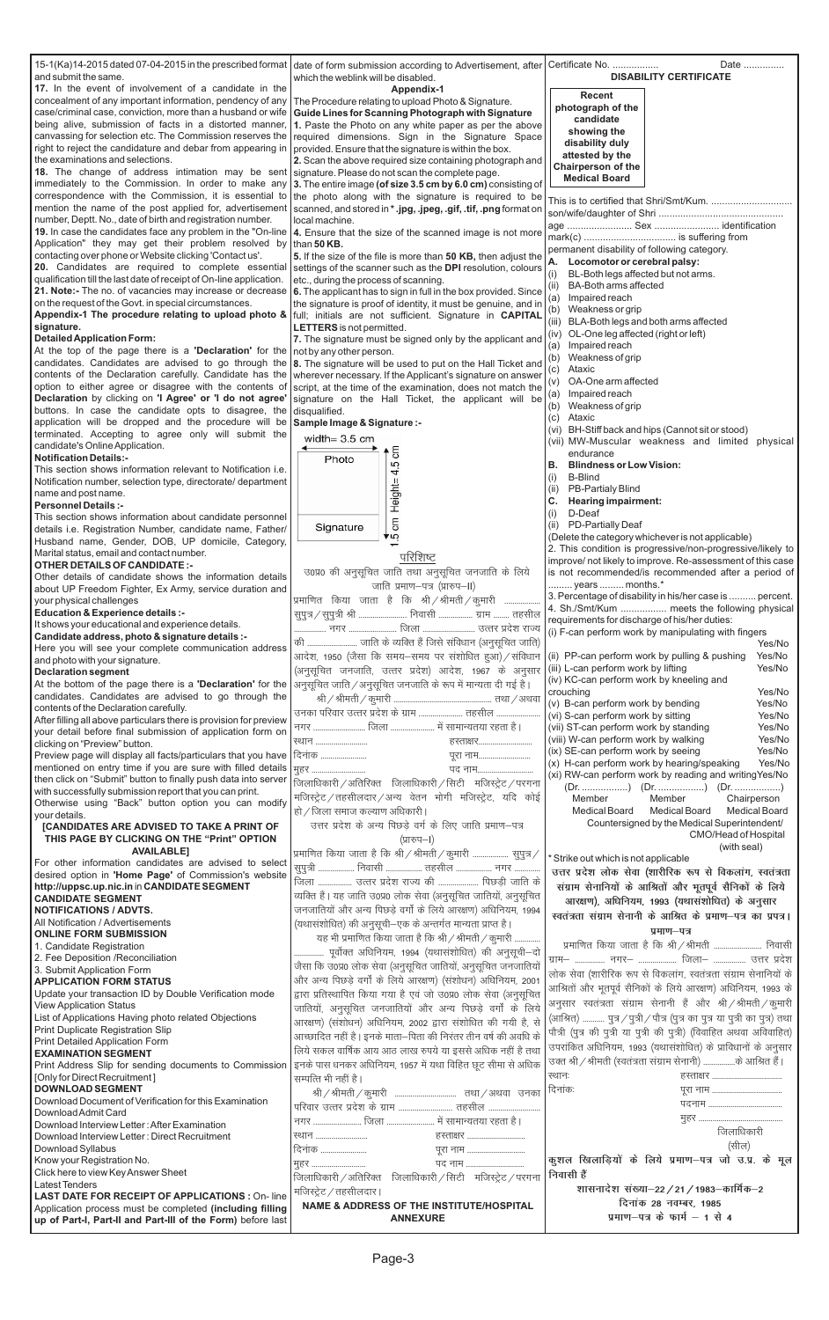| <b>APPLICATION FORM STATUS</b>                              | और अन्य पिछड़े वर्गों के लिये आरक्षण) (संशोधन) अधिनियम, 2001     | लाक सेवा (शाराारक रूप से विकलान, स्वतंत्रता संग्रीम सेनानिया क           |
|-------------------------------------------------------------|------------------------------------------------------------------|--------------------------------------------------------------------------|
| Update your transaction ID by Double Verification mode      | द्वारा प्रतिस्थापित किया गया है एवं जो उ0प्र0 लोक सेवा (अनुसूचित | आश्रितों और भूतपूर्व सैनिकों के लिये आरक्षण) अधिनियम, 1993 के            |
| <b>View Application Status</b>                              | जातियों, अनुसूचित जनजातियों और अन्य पिछड़े वर्गों के लिये        | अनुसार स्वतंत्रता संग्राम सेनानी हैं और श्री / श्रीमती / कूमारी          |
| List of Applications Having photo related Objections        | आरक्षण) (संशोधन) अधिनियम, 2002 द्वारा संशोधित की गयी है, से      | (आश्रित)  पुत्र / पुत्री / पौत्र (पुत्र का पुत्र या पुत्री का पुत्र) तथा |
| Print Duplicate Registration Slip                           | आच्छादित नहीं है। इनके माता–पिता की निरंतर तीन वर्ष की अवधि के   | पौत्री (पुत्र की पुत्री या पुत्री की पुत्री) (विवाहित अथवा अविवाहित)     |
| Print Detailed Application Form                             | लिये सकल वार्षिक आय आठ लाख रुपये या इससे अधिक नहीं है तथा        | उपरांकित अधिनियम, 1993 (यथासंशोधित) के प्राविधानों के अनुसार             |
| <b>EXAMINATION SEGMENT</b>                                  |                                                                  |                                                                          |
| Print Address Slip for sending documents to Commission      | इनके पास धनकर अधिनियम, 1957 में यथा विहित छूट सीमा से अधिक       | उक्त श्री / श्रीमती (स्वतंत्रता संग्राम सेनानी)  के आश्रित हैं।          |
| [Only for Direct Recruitment]                               | सम्पत्ति भी नहीं है।                                             | स्थानः                                                                   |
| <b>DOWNLOAD SEGMENT</b>                                     |                                                                  | दिनांकः                                                                  |
| Download Document of Verification for this Examination      |                                                                  |                                                                          |
| Download Admit Card                                         |                                                                  |                                                                          |
| Download Interview Letter : After Examination               | नगर  जिला  में सामान्यतया रहता है।                               |                                                                          |
| Download Interview Letter: Direct Recruitment               | स्थान<br>हस्ताक्षर                                               | जिलाधिकारी                                                               |
| Download Syllabus                                           | दिनांक<br>पूरा नाम                                               | (सील)                                                                    |
| Know your Registration No.                                  | पद नाम<br>महर                                                    | कुशल खिलाड़ियों के लिये प्रमाण-पत्र जो उ.प्र. के मूल                     |
| Click here to view Key Answer Sheet                         | जिलाधिकारी / अतिरिक्त जिलाधिकारी / सिटी मजिस्ट्रेट / परगना       | निवासी हैं                                                               |
| <b>Latest Tenders</b>                                       | मजिस्ट्रेट / तहसीलदार।                                           | शासनादेश संख्या–22 / 21 / 1983–कार्मिक–2                                 |
| <b>LAST DATE FOR RECEIPT OF APPLICATIONS: On-line</b>       |                                                                  |                                                                          |
| Application process must be completed (including filling    | <b>NAME &amp; ADDRESS OF THE INSTITUTE/HOSPITAL</b>              | दिनांक 28 नवम्बर, 1985                                                   |
| up of Part-I, Part-II and Part-III of the Form) before last | <b>ANNEXURE</b>                                                  | प्रमाण-पत्र के फार्म $-1$ से 4                                           |
|                                                             |                                                                  |                                                                          |

| 15-1(Ka)14-2015 dated 07-04-2015 in the prescribed format date of form submission according to Advertisement, after Certificate No.                                                                                                  |                                                                                                                                  | Date                                                                                                                     |
|--------------------------------------------------------------------------------------------------------------------------------------------------------------------------------------------------------------------------------------|----------------------------------------------------------------------------------------------------------------------------------|--------------------------------------------------------------------------------------------------------------------------|
| and submit the same.                                                                                                                                                                                                                 | which the weblink will be disabled.                                                                                              | <b>DISABILITY CERTIFICATE</b>                                                                                            |
| 17. In the event of involvement of a candidate in the                                                                                                                                                                                | Appendix-1                                                                                                                       | <b>Recent</b>                                                                                                            |
| concealment of any important information, pendency of any                                                                                                                                                                            | The Procedure relating to upload Photo & Signature.                                                                              | photograph of the                                                                                                        |
| case/criminal case, conviction, more than a husband or wife   Guide Lines for Scanning Photograph with Signature<br>being alive, submission of facts in a distorted manner,   1. Paste the Photo on any white paper as per the above |                                                                                                                                  | candidate                                                                                                                |
| canvassing for selection etc. The Commission reserves the                                                                                                                                                                            | required dimensions. Sign in the Signature Space                                                                                 | showing the                                                                                                              |
| right to reject the candidature and debar from appearing in   provided. Ensure that the signature is within the box.                                                                                                                 |                                                                                                                                  | disability duly                                                                                                          |
| the examinations and selections.                                                                                                                                                                                                     | 2. Scan the above required size containing photograph and                                                                        | attested by the                                                                                                          |
| 18. The change of address intimation may be sent signature. Please do not scan the complete page.                                                                                                                                    |                                                                                                                                  | <b>Chairperson of the</b>                                                                                                |
| immediately to the Commission. In order to make any 3. The entire image (of size 3.5 cm by 6.0 cm) consisting of                                                                                                                     |                                                                                                                                  | <b>Medical Board</b>                                                                                                     |
| correspondence with the Commission, it is essential to the photo along with the signature is required to be                                                                                                                          |                                                                                                                                  |                                                                                                                          |
| mention the name of the post applied for, advertisement   scanned, and stored in *.jpg, .jpeg, .gif, .tif, .png format on                                                                                                            |                                                                                                                                  |                                                                                                                          |
| number, Deptt. No., date of birth and registration number.                                                                                                                                                                           | local machine.                                                                                                                   |                                                                                                                          |
| 19. In case the candidates face any problem in the "On-line   4. Ensure that the size of the scanned image is not more                                                                                                               |                                                                                                                                  |                                                                                                                          |
| Application" they may get their problem resolved by                                                                                                                                                                                  | I than 50 $KB$ .                                                                                                                 | permanent disability of following category.                                                                              |
| contacting over phone or Website clicking 'Contact us'.                                                                                                                                                                              | 5. If the size of the file is more than 50 KB, then adjust the                                                                   | Locomotor or cerebral palsy:                                                                                             |
| 20. Candidates are required to complete essential<br>qualification till the last date of receipt of On-line application.                                                                                                             | settings of the scanner such as the DPI resolution, colours<br>etc., during the process of scanning.                             | BL-Both legs affected but not arms.<br>(i)                                                                               |
| 21. Note:- The no. of vacancies may increase or decrease   6. The applicant has to sign in full in the box provided. Since                                                                                                           |                                                                                                                                  | <b>BA-Both arms affected</b><br>(ii)                                                                                     |
| on the request of the Govt. in special circumstances.                                                                                                                                                                                | the signature is proof of identity, it must be genuine, and in                                                                   | Impaired reach<br>(a)                                                                                                    |
| Appendix-1 The procedure relating to upload photo &                                                                                                                                                                                  | full; initials are not sufficient. Signature in CAPITAL                                                                          | Weakness or grip<br>(b)                                                                                                  |
| signature.                                                                                                                                                                                                                           | LETTERS is not permitted.                                                                                                        | BLA-Both legs and both arms affected<br>(iii)                                                                            |
| <b>Detailed Application Form:</b>                                                                                                                                                                                                    | 7. The signature must be signed only by the applicant and                                                                        | OL-One leg affected (right or left)<br>(iv)                                                                              |
| At the top of the page there is a 'Declaration' for the $ $ not by any other person.                                                                                                                                                 |                                                                                                                                  | Impaired reach<br>(a)                                                                                                    |
| candidates. Candidates are advised to go through the   8. The signature will be used to put on the Hall Ticket and                                                                                                                   |                                                                                                                                  | Weakness of grip<br>(b)<br>Ataxic                                                                                        |
| contents of the Declaration carefully. Candidate has the   wherever necessary. If the Applicant's signature on answer                                                                                                                |                                                                                                                                  | (c)<br>OA-One arm affected                                                                                               |
| option to either agree or disagree with the contents of                                                                                                                                                                              | script, at the time of the examination, does not match the                                                                       | (v)<br>Impaired reach                                                                                                    |
| Declaration by clicking on 'I Agree' or 'I do not agree'                                                                                                                                                                             | signature on the Hall Ticket, the applicant will be                                                                              | (a)<br>Weakness of grip<br>(b)                                                                                           |
| buttons. In case the candidate opts to disagree, the disqualified.                                                                                                                                                                   |                                                                                                                                  | Ataxic<br>(c)                                                                                                            |
| application will be dropped and the procedure will be Sample Image & Signature :-                                                                                                                                                    |                                                                                                                                  | BH-Stiff back and hips (Cannot sit or stood)<br>(VI)                                                                     |
| terminated. Accepting to agree only will submit the                                                                                                                                                                                  | width= $3.5 \text{ cm}$                                                                                                          | (vii) MW-Muscular weakness and limited physical                                                                          |
| candidate's Online Application.<br><b>Notification Details:-</b>                                                                                                                                                                     | 5                                                                                                                                | endurance                                                                                                                |
| This section shows information relevant to Notification i.e.                                                                                                                                                                         | Photo<br>5                                                                                                                       | <b>Blindness or Low Vision:</b><br>В.                                                                                    |
| Notification number, selection type, directorate/ department                                                                                                                                                                         | 4.                                                                                                                               | <b>B-Blind</b><br>(i)                                                                                                    |
| name and post name.                                                                                                                                                                                                                  | Height=                                                                                                                          | <b>PB-Partialy Blind</b><br>(ii)                                                                                         |
| <b>Personnel Details:-</b>                                                                                                                                                                                                           |                                                                                                                                  | Hearing impairment:<br>C.                                                                                                |
| This section shows information about candidate personnel                                                                                                                                                                             |                                                                                                                                  | (i)<br>D-Deaf                                                                                                            |
| details i.e. Registration Number, candidate name, Father/                                                                                                                                                                            | $\overline{\overline{\overline{5}}}$<br>Signature                                                                                | PD-Partially Deaf<br>(ii)                                                                                                |
| Husband name, Gender, DOB, UP domicile, Category,                                                                                                                                                                                    | ۆα≱                                                                                                                              | (Delete the category whichever is not applicable)                                                                        |
| Marital status, email and contact number.                                                                                                                                                                                            | परिशिष्ट                                                                                                                         | 2. This condition is progressive/non-progressive/likely to<br>improve/ not likely to improve. Re-assessment of this case |
| <b>OTHER DETAILS OF CANDIDATE:-</b>                                                                                                                                                                                                  | उ0प्र0 की अनुसूचित जाति तथा अनुसूचित जनजाति के लिये                                                                              | is not recommended/is recommended after a period of                                                                      |
| Other details of candidate shows the information details                                                                                                                                                                             | जाति प्रमाण-पत्र (प्रारुप-II)                                                                                                    | years  months.*                                                                                                          |
| about UP Freedom Fighter, Ex Army, service duration and                                                                                                                                                                              |                                                                                                                                  | 3. Percentage of disability in his/her case is  percent.                                                                 |
| your physical challenges                                                                                                                                                                                                             | प्रमाणित किया जाता है कि श्री/श्रीमती/कुमारी                                                                                     | 4. Sh./Smt/Kum  meets the following physical                                                                             |
| Education & Experience details :-<br>It shows your educational and experience details.                                                                                                                                               | सुपुत्र / सुपुत्री श्री  निवासी  ग्राम  तहसील                                                                                    | requirements for discharge of his/her duties:                                                                            |
| Candidate address, photo & signature details :-                                                                                                                                                                                      |                                                                                                                                  | (i) F-can perform work by manipulating with fingers                                                                      |
| Here you will see your complete communication address                                                                                                                                                                                | की  जाति के व्यक्ति हैं जिसे संविधान (अनुसूचित जाति)                                                                             | Yes/No                                                                                                                   |
| and photo with your signature.                                                                                                                                                                                                       | आदेश, 1950 (जैसा कि समय-समय पर संशोधित हुआ) / संविधान                                                                            | (ii) PP-can perform work by pulling & pushing<br>Yes/No                                                                  |
| <b>Declaration segment</b>                                                                                                                                                                                                           | (अनुसूचित जनजाति, उत्तर प्रदेश) आदेश, 1967 के अनुसार                                                                             | (iii) L-can perform work by lifting<br>Yes/No                                                                            |
| At the bottom of the page there is a 'Declaration' for the                                                                                                                                                                           | अनुसूचित जाति / अनुसूचित जनजाति के रूप में मान्यता दी गई है।                                                                     | (iv) KC-can perform work by kneeling and                                                                                 |
| candidates. Candidates are advised to go through the                                                                                                                                                                                 |                                                                                                                                  | crouching<br>Yes/No                                                                                                      |
| contents of the Declaration carefully.                                                                                                                                                                                               | उनका परिवार उत्तर प्रदेश के ग्राम  तहसील                                                                                         | (v) B-can perform work by bending<br>Yes/No<br>(vi) S-can perform work by sitting<br>Yes/No                              |
| After filling all above particulars there is provision for preview                                                                                                                                                                   | नगर  जिला  में सामान्यतया रहता है।                                                                                               | (vii) ST-can perform work by standing<br>Yes/No                                                                          |
| your detail before final submission of application form on                                                                                                                                                                           | ख्यान<br>हस्ताक्षर                                                                                                               | (viii) W-can perform work by walking<br>Yes/No                                                                           |
| clicking on "Preview" button.                                                                                                                                                                                                        |                                                                                                                                  | (ix) SE-can perform work by seeing<br>Yes/No                                                                             |
| Preview page will display all facts/particulars that you have   दिनांक                                                                                                                                                               | पूरा नाम                                                                                                                         | (x) H-can perform work by hearing/speaking<br>Yes/No                                                                     |
| mentioned on entry time if you are sure with filled details<br>then click on "Submit" button to finally push data into server                                                                                                        | मुहर<br>पद नाम                                                                                                                   | (xi) RW-can perform work by reading and writing Yes/No                                                                   |
| with successfully submission report that you can print.                                                                                                                                                                              | जिलाधिकारी / अतिरिक्त जिलाधिकारी / सिटी मजिस्ट्रेट / परगना                                                                       |                                                                                                                          |
| Otherwise using "Back" button option you can modify                                                                                                                                                                                  | मजिस्ट्रेट / तहसीलदार / अन्य वेतन भोगी मजिस्ट्रेट, यदि कोई                                                                       | Member<br>Member<br>Chairperson                                                                                          |
| your details.                                                                                                                                                                                                                        | हो / जिला समाज कल्याण अधिकारी                                                                                                    | <b>Medical Board</b><br>Medical Board<br>Medical Board                                                                   |
| [CANDIDATES ARE ADVISED TO TAKE A PRINT OF                                                                                                                                                                                           | उत्तर प्रदेश के अन्य पिछड़े वर्ग के लिए जाति प्रमाण-पत्र                                                                         | Countersigned by the Medical Superintendent/                                                                             |
| THIS PAGE BY CLICKING ON THE "Print" OPTION                                                                                                                                                                                          | (प्रारुप–1)                                                                                                                      | CMO/Head of Hospital                                                                                                     |
| <b>AVAILABLEI</b>                                                                                                                                                                                                                    | प्रमाणित किया जाता है कि श्री / श्रीमती / कुमारी  सुपुत्र /                                                                      | (with seal)                                                                                                              |
| For other information candidates are advised to select                                                                                                                                                                               | सुपुत्री  निवासी  तहसील  नगर                                                                                                     | <sup>*</sup> Strike out which is not applicable                                                                          |
|                                                                                                                                                                                                                                      |                                                                                                                                  | उत्तर प्रदेश लोक सेवा (शारीरिक रूप से विकलांग, स्वतंत्रता                                                                |
| desired option in 'Home Page' of Commission's website                                                                                                                                                                                |                                                                                                                                  |                                                                                                                          |
| http://uppsc.up.nic.in in CANDIDATE SEGMENT                                                                                                                                                                                          | जिला  उत्तर प्रदेश राज्य की  पिछड़ी जाति के                                                                                      | संग्राम सेनानियों के आश्रितों और भूतपूर्व सैनिकों के लिये                                                                |
| <b>CANDIDATE SEGMENT</b>                                                                                                                                                                                                             | व्यक्ति हैं। यह जाति उ0प्र0 लोक सेवा (अनुसूचित जातियों, अनुसूचित                                                                 | आरक्षण), अधिनियम, 1993 (यथासंशोधित) के अनुसार                                                                            |
| <b>NOTIFICATIONS / ADVTS.</b>                                                                                                                                                                                                        | जनजातियों और अन्य पिछड़े वर्गों के लिये आरक्षण) अधिनियम, 1994                                                                    | स्वतंत्रता संग्राम सेनानी के आश्रित के प्रमाण-पत्र का प्रपत्र।                                                           |
| All Notification / Advertisements                                                                                                                                                                                                    | (यथासंशोधित) की अनुसूची–एक के अन्तर्गत मान्यता प्राप्त है।                                                                       |                                                                                                                          |
| <b>ONLINE FORM SUBMISSION</b>                                                                                                                                                                                                        | यह भी प्रमाणित किया जाता है कि श्री / श्रीमती / कुमारी                                                                           | प्रमाण–पत्र                                                                                                              |
| 1. Candidate Registration                                                                                                                                                                                                            | पूर्वोक्त अधिनियम, 1994 (यथासंशोधित) की अनुसूची–दो                                                                               | प्रमाणित किया जाता है कि श्री/श्रीमती  निवासी                                                                            |
| 2. Fee Deposition / Reconciliation                                                                                                                                                                                                   | जैसा कि उ0प्र0 लोक सेवा (अनुसूचित जातियों, अनुसूचित जनजातियों                                                                    | ग्राम-  नगर-  जिला-  उत्तर प्रदेश                                                                                        |
| 3. Submit Application Form                                                                                                                                                                                                           |                                                                                                                                  | लोक सेवा (शारीरिक रूप से विकलांग, स्वतंत्रता संग्राम सेनानियों के                                                        |
| <b>APPLICATION FORM STATUS</b><br>Update your transaction ID by Double Verification mode                                                                                                                                             | और अन्य पिछड़े वर्गों के लिये आरक्षण) (संशोधन) अधिनियम, 2001<br>द्वारा प्रतिस्थापित किया गया है एवं जो उ0प्र0 लोक सेवा (अनुसूचित | आश्रितों और भूतपूर्व सैनिकों के लिये आरक्षण) अधिनियम, 1993 के                                                            |